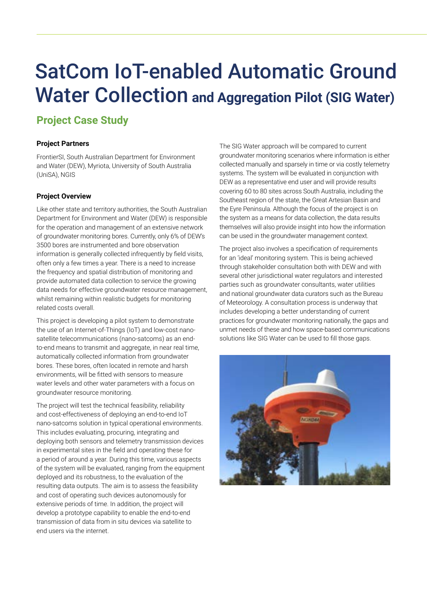# SatCom IoT-enabled Automatic Ground Water Collection **and Aggregation Pilot (SIG Water)**

# **Project Case Study**

## **Project Partners**

FrontierSI, South Australian Department for Environment and Water (DEW), Myriota, University of South Australia (UniSA), NGIS

# **Project Overview**

Like other state and territory authorities, the South Australian Department for Environment and Water (DEW) is responsible for the operation and management of an extensive network of groundwater monitoring bores. Currently, only 6% of DEW's 3500 bores are instrumented and bore observation information is generally collected infrequently by field visits, often only a few times a year. There is a need to increase the frequency and spatial distribution of monitoring and provide automated data collection to service the growing data needs for effective groundwater resource management, whilst remaining within realistic budgets for monitoring related costs overall.

This project is developing a pilot system to demonstrate the use of an Internet-of-Things (IoT) and low-cost nanosatellite telecommunications (nano-satcoms) as an endto-end means to transmit and aggregate, in near real time, automatically collected information from groundwater bores. These bores, often located in remote and harsh environments, will be fitted with sensors to measure water levels and other water parameters with a focus on groundwater resource monitoring.

The project will test the technical feasibility, reliability and cost-effectiveness of deploying an end-to-end IoT nano-satcoms solution in typical operational environments. This includes evaluating, procuring, integrating and deploying both sensors and telemetry transmission devices in experimental sites in the field and operating these for a period of around a year. During this time, various aspects of the system will be evaluated, ranging from the equipment deployed and its robustness, to the evaluation of the resulting data outputs. The aim is to assess the feasibility and cost of operating such devices autonomously for extensive periods of time. In addition, the project will develop a prototype capability to enable the end-to-end transmission of data from in situ devices via satellite to end users via the internet.

The SIG Water approach will be compared to current groundwater monitoring scenarios where information is either collected manually and sparsely in time or via costly telemetry systems. The system will be evaluated in conjunction with DEW as a representative end user and will provide results covering 60 to 80 sites across South Australia, including the Southeast region of the state, the Great Artesian Basin and the Eyre Peninsula. Although the focus of the project is on the system as a means for data collection, the data results themselves will also provide insight into how the information can be used in the groundwater management context.

The project also involves a specification of requirements for an 'ideal' monitoring system. This is being achieved through stakeholder consultation both with DEW and with several other jurisdictional water regulators and interested parties such as groundwater consultants, water utilities and national groundwater data curators such as the Bureau of Meteorology. A consultation process is underway that includes developing a better understanding of current practices for groundwater monitoring nationally, the gaps and unmet needs of these and how space-based communications solutions like SIG Water can be used to fill those gaps.